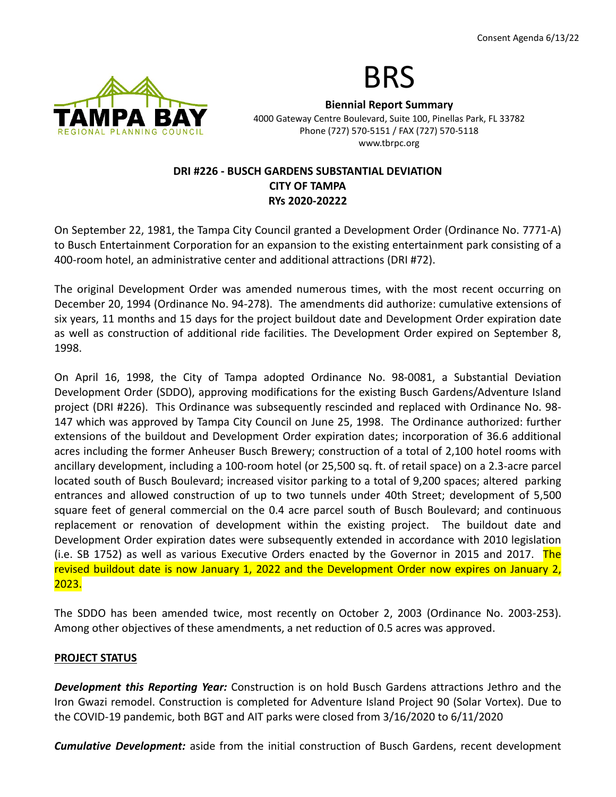

# BRS

**Biennial Report Summary** 4000 Gateway Centre Boulevard, Suite 100, Pinellas Park, FL 33782 Phone (727) 570-5151 / FAX (727) 570-5118 www.tbrpc.org

## **DRI #226 - BUSCH GARDENS SUBSTANTIAL DEVIATION CITY OF TAMPA RYs 2020-20222**

On September 22, 1981, the Tampa City Council granted a Development Order (Ordinance No. 7771-A) to Busch Entertainment Corporation for an expansion to the existing entertainment park consisting of a 400-room hotel, an administrative center and additional attractions (DRI #72).

The original Development Order was amended numerous times, with the most recent occurring on December 20, 1994 (Ordinance No. 94-278). The amendments did authorize: cumulative extensions of six years, 11 months and 15 days for the project buildout date and Development Order expiration date as well as construction of additional ride facilities. The Development Order expired on September 8, 1998.

On April 16, 1998, the City of Tampa adopted Ordinance No. 98-0081, a Substantial Deviation Development Order (SDDO), approving modifications for the existing Busch Gardens/Adventure Island project (DRI #226). This Ordinance was subsequently rescinded and replaced with Ordinance No. 98- 147 which was approved by Tampa City Council on June 25, 1998. The Ordinance authorized: further extensions of the buildout and Development Order expiration dates; incorporation of 36.6 additional acres including the former Anheuser Busch Brewery; construction of a total of 2,100 hotel rooms with ancillary development, including a 100-room hotel (or 25,500 sq. ft. of retail space) on a 2.3-acre parcel located south of Busch Boulevard; increased visitor parking to a total of 9,200 spaces; altered parking entrances and allowed construction of up to two tunnels under 40th Street; development of 5,500 square feet of general commercial on the 0.4 acre parcel south of Busch Boulevard; and continuous replacement or renovation of development within the existing project. The buildout date and Development Order expiration dates were subsequently extended in accordance with 2010 legislation (i.e. SB 1752) as well as various Executive Orders enacted by the Governor in 2015 and 2017. The revised buildout date is now January 1, 2022 and the Development Order now expires on January 2, 2023.

The SDDO has been amended twice, most recently on October 2, 2003 (Ordinance No. 2003-253). Among other objectives of these amendments, a net reduction of 0.5 acres was approved.

## **PROJECT STATUS**

*Development this Reporting Year:* Construction is on hold Busch Gardens attractions Jethro and the Iron Gwazi remodel. Construction is completed for Adventure Island Project 90 (Solar Vortex). Due to the COVID-19 pandemic, both BGT and AIT parks were closed from 3/16/2020 to 6/11/2020

*Cumulative Development:* aside from the initial construction of Busch Gardens, recent development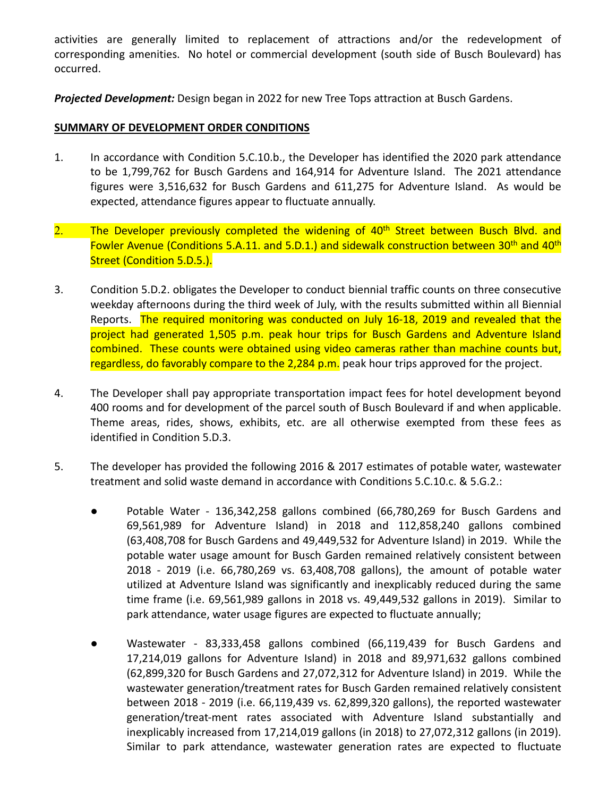activities are generally limited to replacement of attractions and/or the redevelopment of corresponding amenities. No hotel or commercial development (south side of Busch Boulevard) has occurred.

*Projected Development:* Design began in 2022 for new Tree Tops attraction at Busch Gardens.

#### **SUMMARY OF DEVELOPMENT ORDER CONDITIONS**

- 1. In accordance with Condition 5.C.10.b., the Developer has identified the 2020 park attendance to be 1,799,762 for Busch Gardens and 164,914 for Adventure Island. The 2021 attendance figures were 3,516,632 for Busch Gardens and 611,275 for Adventure Island. As would be expected, attendance figures appear to fluctuate annually.
- 2. The Developer previously completed the widening of 40<sup>th</sup> Street between Busch Blvd. and Fowler Avenue (Conditions 5.A.11. and 5.D.1.) and sidewalk construction between 30<sup>th</sup> and 40<sup>th</sup> Street (Condition 5.D.5.).
- 3. Condition 5.D.2. obligates the Developer to conduct biennial traffic counts on three consecutive weekday afternoons during the third week of July, with the results submitted within all Biennial Reports. The required monitoring was conducted on July 16-18, 2019 and revealed that the project had generated 1,505 p.m. peak hour trips for Busch Gardens and Adventure Island combined. These counts were obtained using video cameras rather than machine counts but, regardless, do favorably compare to the 2,284 p.m. peak hour trips approved for the project.
- 4. The Developer shall pay appropriate transportation impact fees for hotel development beyond 400 rooms and for development of the parcel south of Busch Boulevard if and when applicable. Theme areas, rides, shows, exhibits, etc. are all otherwise exempted from these fees as identified in Condition 5.D.3.
- 5. The developer has provided the following 2016 & 2017 estimates of potable water, wastewater treatment and solid waste demand in accordance with Conditions 5.C.10.c. & 5.G.2.:
	- Potable Water 136,342,258 gallons combined (66,780,269 for Busch Gardens and 69,561,989 for Adventure Island) in 2018 and 112,858,240 gallons combined (63,408,708 for Busch Gardens and 49,449,532 for Adventure Island) in 2019. While the potable water usage amount for Busch Garden remained relatively consistent between 2018 - 2019 (i.e. 66,780,269 vs. 63,408,708 gallons), the amount of potable water utilized at Adventure Island was significantly and inexplicably reduced during the same time frame (i.e. 69,561,989 gallons in 2018 vs. 49,449,532 gallons in 2019). Similar to park attendance, water usage figures are expected to fluctuate annually;
	- Wastewater 83,333,458 gallons combined (66,119,439 for Busch Gardens and 17,214,019 gallons for Adventure Island) in 2018 and 89,971,632 gallons combined (62,899,320 for Busch Gardens and 27,072,312 for Adventure Island) in 2019. While the wastewater generation/treatment rates for Busch Garden remained relatively consistent between 2018 - 2019 (i.e. 66,119,439 vs. 62,899,320 gallons), the reported wastewater generation/treat-ment rates associated with Adventure Island substantially and inexplicably increased from 17,214,019 gallons (in 2018) to 27,072,312 gallons (in 2019). Similar to park attendance, wastewater generation rates are expected to fluctuate